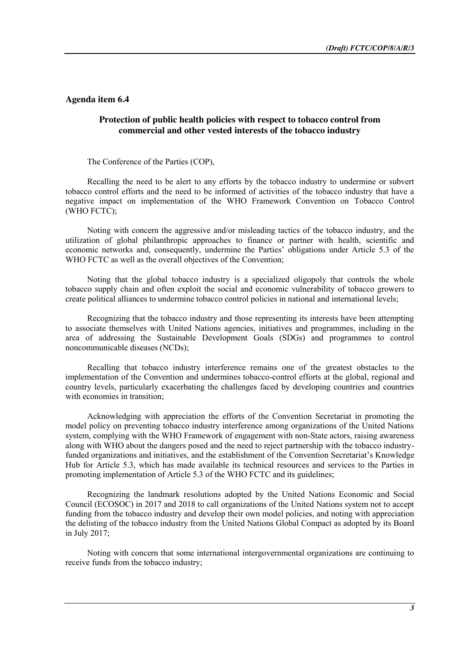## **Agenda item 6.4**

## **Protection of public health policies with respect to tobacco control from commercial and other vested interests of the tobacco industry**

The Conference of the Parties (COP),

Recalling the need to be alert to any efforts by the tobacco industry to undermine or subvert tobacco control efforts and the need to be informed of activities of the tobacco industry that have a negative impact on implementation of the WHO Framework Convention on Tobacco Control (WHO FCTC);

Noting with concern the aggressive and/or misleading tactics of the tobacco industry, and the utilization of global philanthropic approaches to finance or partner with health, scientific and economic networks and, consequently, undermine the Parties' obligations under Article 5.3 of the WHO FCTC as well as the overall objectives of the Convention;

Noting that the global tobacco industry is a specialized oligopoly that controls the whole tobacco supply chain and often exploit the social and economic vulnerability of tobacco growers to create political alliances to undermine tobacco control policies in national and international levels;

Recognizing that the tobacco industry and those representing its interests have been attempting to associate themselves with United Nations agencies, initiatives and programmes, including in the area of addressing the Sustainable Development Goals (SDGs) and programmes to control noncommunicable diseases (NCDs);

Recalling that tobacco industry interference remains one of the greatest obstacles to the implementation of the Convention and undermines tobacco-control efforts at the global, regional and country levels, particularly exacerbating the challenges faced by developing countries and countries with economies in transition;

Acknowledging with appreciation the efforts of the Convention Secretariat in promoting the model policy on preventing tobacco industry interference among organizations of the United Nations system, complying with the WHO Framework of engagement with non-State actors, raising awareness along with WHO about the dangers posed and the need to reject partnership with the tobacco industryfunded organizations and initiatives, and the establishment of the Convention Secretariat's Knowledge Hub for Article 5.3, which has made available its technical resources and services to the Parties in promoting implementation of Article 5.3 of the WHO FCTC and its guidelines;

Recognizing the landmark resolutions adopted by the United Nations Economic and Social Council (ECOSOC) in 2017 and 2018 to call organizations of the United Nations system not to accept funding from the tobacco industry and develop their own model policies, and noting with appreciation the delisting of the tobacco industry from the United Nations Global Compact as adopted by its Board in July 2017;

Noting with concern that some international intergovernmental organizations are continuing to receive funds from the tobacco industry;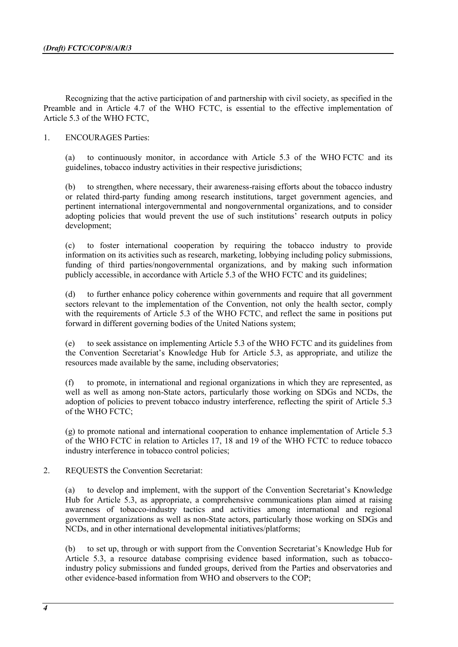Recognizing that the active participation of and partnership with civil society, as specified in the Preamble and in Article 4.7 of the WHO FCTC, is essential to the effective implementation of Article 5.3 of the WHO FCTC,

## 1. ENCOURAGES Parties:

(a) to continuously monitor, in accordance with Article 5.3 of the WHO FCTC and its guidelines, tobacco industry activities in their respective jurisdictions;

(b) to strengthen, where necessary, their awareness-raising efforts about the tobacco industry or related third-party funding among research institutions, target government agencies, and pertinent international intergovernmental and nongovernmental organizations, and to consider adopting policies that would prevent the use of such institutions' research outputs in policy development;

(c) to foster international cooperation by requiring the tobacco industry to provide information on its activities such as research, marketing, lobbying including policy submissions, funding of third parties/nongovernmental organizations, and by making such information publicly accessible, in accordance with Article 5.3 of the WHO FCTC and its guidelines;

(d) to further enhance policy coherence within governments and require that all government sectors relevant to the implementation of the Convention, not only the health sector, comply with the requirements of Article 5.3 of the WHO FCTC, and reflect the same in positions put forward in different governing bodies of the United Nations system;

(e) to seek assistance on implementing Article 5.3 of the WHO FCTC and its guidelines from the Convention Secretariat's Knowledge Hub for Article 5.3, as appropriate, and utilize the resources made available by the same, including observatories;

(f) to promote, in international and regional organizations in which they are represented, as well as well as among non-State actors, particularly those working on SDGs and NCDs, the adoption of policies to prevent tobacco industry interference, reflecting the spirit of Article 5.3 of the WHO FCTC;

(g) to promote national and international cooperation to enhance implementation of Article 5.3 of the WHO FCTC in relation to Articles 17, 18 and 19 of the WHO FCTC to reduce tobacco industry interference in tobacco control policies;

2. REQUESTS the Convention Secretariat:

(a) to develop and implement, with the support of the Convention Secretariat's Knowledge Hub for Article 5.3, as appropriate, a comprehensive communications plan aimed at raising awareness of tobacco-industry tactics and activities among international and regional government organizations as well as non-State actors, particularly those working on SDGs and NCDs, and in other international developmental initiatives/platforms;

(b) to set up, through or with support from the Convention Secretariat's Knowledge Hub for Article 5.3, a resource database comprising evidence based information, such as tobaccoindustry policy submissions and funded groups, derived from the Parties and observatories and other evidence-based information from WHO and observers to the COP;